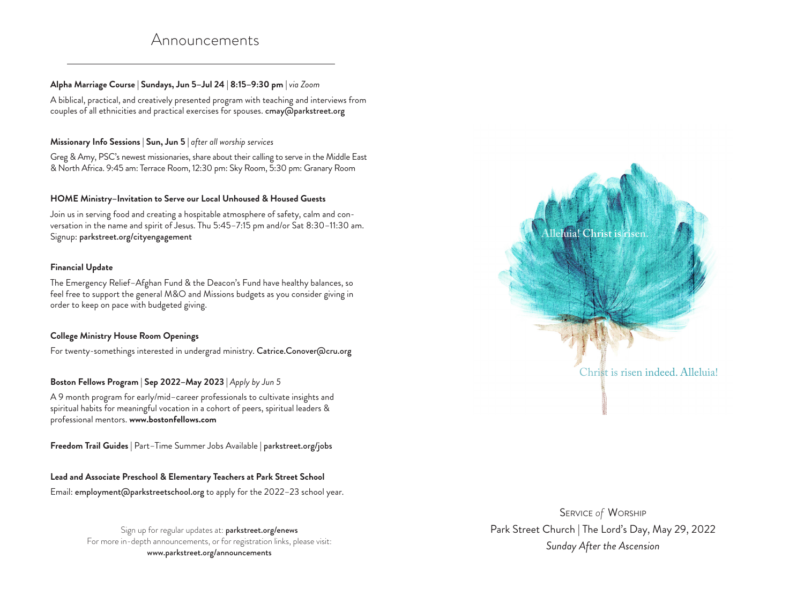# Announcements

## **Alpha Marriage Course | Sundays, Jun 5–Jul 24 | 8:15–9:30 pm |** *via Zoom*

A biblical, practical, and creatively presented program with teaching and interviews from couples of all ethnicities and practical exercises for spouses. cmay@parkstreet.org

#### **Missionary Info Sessions | Sun, Jun 5 |** *after all worship services*

Greg & Amy, PSC's newest missionaries, share about their calling to serve in the Middle East & North Africa. 9:45 am: Terrace Room, 12:30 pm: Sky Room, 5:30 pm: Granary Room

#### **HOME Ministry–Invitation to Serve our Local Unhoused & Housed Guests**

Join us in serving food and creating a hospitable atmosphere of safety, calm and conversation in the name and spirit of Jesus. Thu 5:45–7:15 pm and/or Sat 8:30–11:30 am. Signup: parkstreet.org/cityengagement

### **Financial Update**

The Emergency Relief–Afghan Fund & the Deacon's Fund have healthy balances, so feel free to support the general M&O and Missions budgets as you consider giving in order to keep on pace with budgeted giving.

### **College Ministry House Room Openings**

For twenty-somethings interested in undergrad ministry. Catrice.Conover@cru.org

### Boston Fellows Program | Sep 2022-May 2023 | Apply by Jun 5

A 9 month program for early/mid–career professionals to cultivate insights and spiritual habits for meaningful vocation in a cohort of peers, spiritual leaders & professional mentors. **www.bostonfellows.com**

**Freedom Trail Guides |** Part–Time Summer Jobs Available **|** parkstreet.org/jobs

### **Lead and Associate Preschool & Elementary Teachers at Park Street School**

Email: employment@parkstreetschool.org to apply for the 2022–23 school year.

Sign up for regular updates at: parkstreet.org/enews For more in-depth announcements, or for registration links, please visit: www.parkstreet.org/announcements